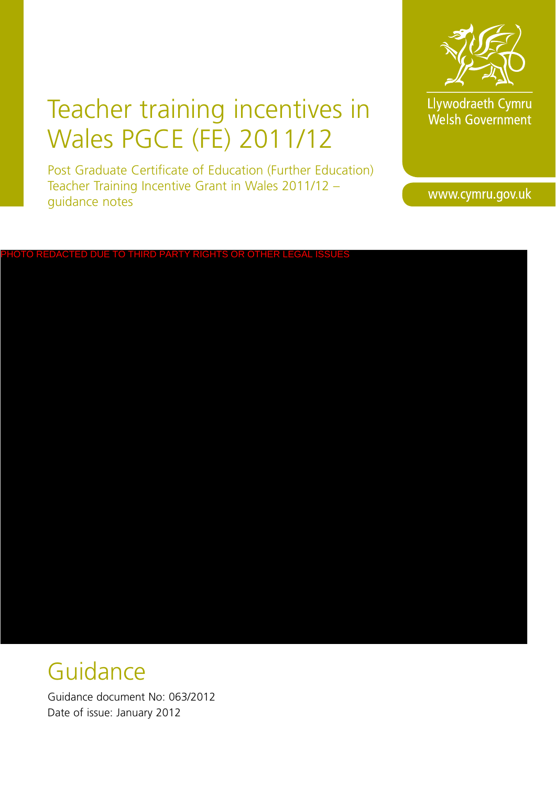# Teacher training incentives in Wales PGCE (FE) 2011/12

Post Graduate Certificate of Education (Further Education) Teacher Training Incentive Grant in Wales 2011/12 – guidance notes



Llywodraeth Cymru Welsh Government

www.cymru.gov.uk

# $\overline{\text{FD}}$  due to third party rights or other legal issues

# **Guidance**

Guidance document No: 063/2012 Date of issue: January 2012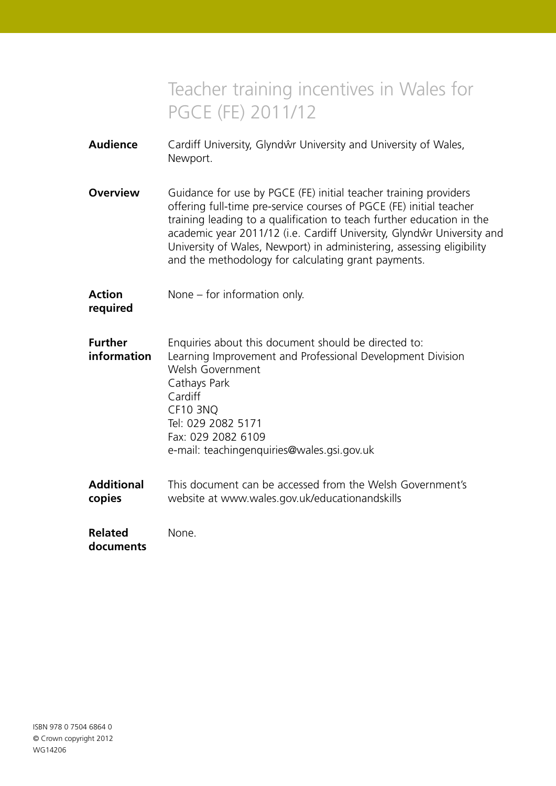# Teacher training incentives in Wales for PGCE (FE) 2011/12

| <b>Audience</b>               | Cardiff University, Glyndŵr University and University of Wales,<br>Newport.                                                                                                                                                                                                                                                                                                                                                |
|-------------------------------|----------------------------------------------------------------------------------------------------------------------------------------------------------------------------------------------------------------------------------------------------------------------------------------------------------------------------------------------------------------------------------------------------------------------------|
| <b>Overview</b>               | Guidance for use by PGCE (FE) initial teacher training providers<br>offering full-time pre-service courses of PGCE (FE) initial teacher<br>training leading to a qualification to teach further education in the<br>academic year 2011/12 (i.e. Cardiff University, Glyndŵr University and<br>University of Wales, Newport) in administering, assessing eligibility<br>and the methodology for calculating grant payments. |
| <b>Action</b><br>required     | None $-$ for information only.                                                                                                                                                                                                                                                                                                                                                                                             |
| <b>Further</b><br>information | Enquiries about this document should be directed to:<br>Learning Improvement and Professional Development Division<br>Welsh Government<br>Cathays Park<br>Cardiff<br>CF10 3NQ<br>Tel: 029 2082 5171<br>Fax: 029 2082 6109<br>e-mail: teachingenquiries@wales.gsi.gov.uk                                                                                                                                                    |
| <b>Additional</b><br>copies   | This document can be accessed from the Welsh Government's<br>website at www.wales.gov.uk/educationandskills                                                                                                                                                                                                                                                                                                                |
| <b>Related</b><br>documents   | None.                                                                                                                                                                                                                                                                                                                                                                                                                      |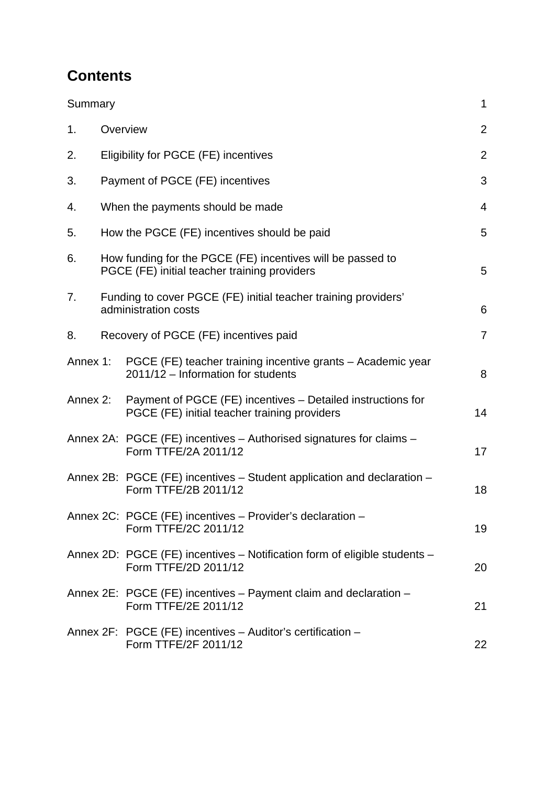# **Contents**

| Summary        |                                                                                                             | $\mathbf{1}$   |
|----------------|-------------------------------------------------------------------------------------------------------------|----------------|
| 1.             | Overview                                                                                                    | $\overline{2}$ |
| 2.             | Eligibility for PGCE (FE) incentives                                                                        | $\overline{2}$ |
| 3.             | Payment of PGCE (FE) incentives                                                                             | 3              |
| 4.             | When the payments should be made                                                                            | $\overline{4}$ |
| 5.             | How the PGCE (FE) incentives should be paid                                                                 | 5              |
| 6.             | How funding for the PGCE (FE) incentives will be passed to<br>PGCE (FE) initial teacher training providers  | 5              |
| 7 <sub>1</sub> | Funding to cover PGCE (FE) initial teacher training providers'<br>administration costs                      | 6              |
| 8.             | Recovery of PGCE (FE) incentives paid                                                                       | $\overline{7}$ |
| Annex 1:       | PGCE (FE) teacher training incentive grants - Academic year<br>2011/12 - Information for students           | 8              |
| Annex 2:       | Payment of PGCE (FE) incentives – Detailed instructions for<br>PGCE (FE) initial teacher training providers | 14             |
|                | Annex 2A: PGCE (FE) incentives – Authorised signatures for claims –<br>Form TTFE/2A 2011/12                 | 17             |
|                | Annex 2B: PGCE (FE) incentives - Student application and declaration -<br>Form TTFE/2B 2011/12              | 18             |
|                | Annex 2C: PGCE (FE) incentives - Provider's declaration -<br>Form TTFE/2C 2011/12                           | 19             |
|                | Annex 2D: PGCE (FE) incentives - Notification form of eligible students -<br>Form TTFE/2D 2011/12           | 20             |
|                | Annex 2E: PGCE (FE) incentives – Payment claim and declaration –<br>Form TTFE/2E 2011/12                    | 21             |
|                | Annex 2F: PGCE (FE) incentives - Auditor's certification -<br>Form TTFE/2F 2011/12                          | 22             |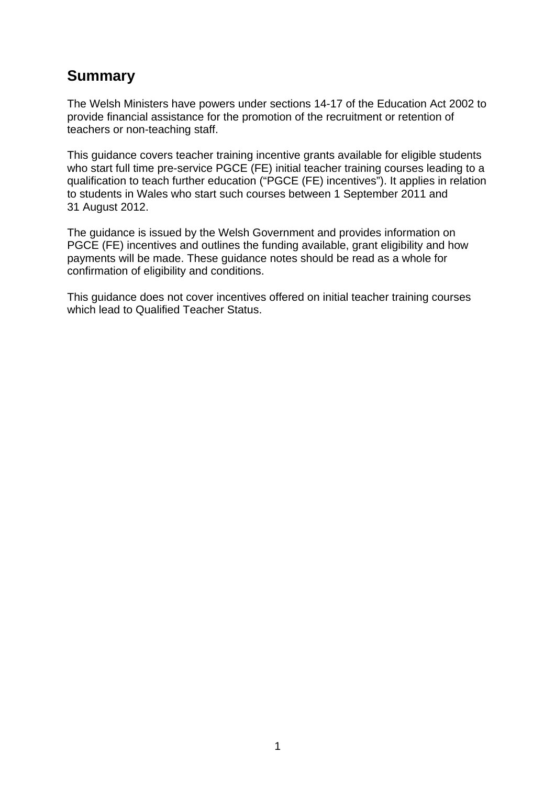# **Summary**

The Welsh Ministers have powers under sections 14-17 of the Education Act 2002 to provide financial assistance for the promotion of the recruitment or retention of teachers or non-teaching staff.

This guidance covers teacher training incentive grants available for eligible students who start full time pre-service PGCE (FE) initial teacher training courses leading to a qualification to teach further education ("PGCE (FE) incentives"). It applies in relation to students in Wales who start such courses between 1 September 2011 and 31 August 2012.

The guidance is issued by the Welsh Government and provides information on PGCE (FE) incentives and outlines the funding available, grant eligibility and how payments will be made. These guidance notes should be read as a whole for confirmation of eligibility and conditions.

This guidance does not cover incentives offered on initial teacher training courses which lead to Qualified Teacher Status.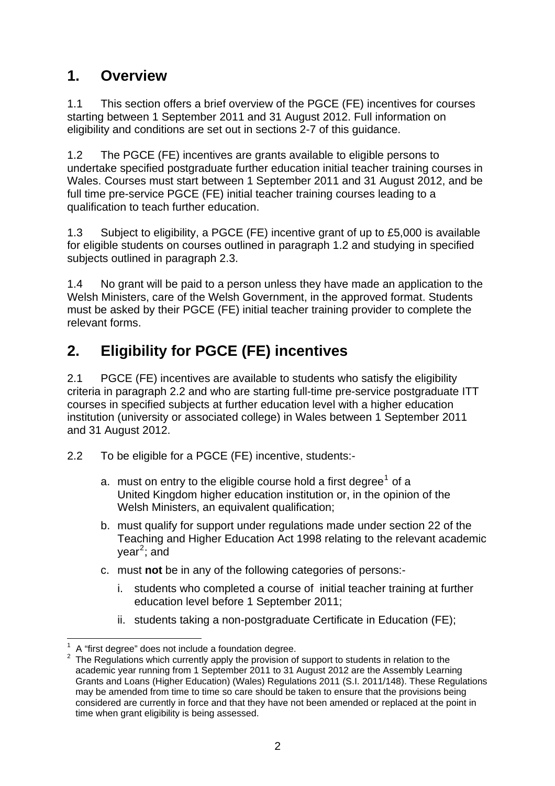# **1. Overview**

1.1 This section offers a brief overview of the PGCE (FE) incentives for courses starting between 1 September 2011 and 31 August 2012. Full information on eligibility and conditions are set out in sections 2-7 of this guidance.

1.2 The PGCE (FE) incentives are grants available to eligible persons to undertake specified postgraduate further education initial teacher training courses in Wales. Courses must start between 1 September 2011 and 31 August 2012, and be full time pre-service PGCE (FE) initial teacher training courses leading to a qualification to teach further education.

1.3 Subject to eligibility, a PGCE (FE) incentive grant of up to £5,000 is available for eligible students on courses outlined in paragraph 1.2 and studying in specified subjects outlined in paragraph 2.3.

1.4 No grant will be paid to a person unless they have made an application to the Welsh Ministers, care of the Welsh Government, in the approved format. Students must be asked by their PGCE (FE) initial teacher training provider to complete the relevant forms.

# **2. Eligibility for PGCE (FE) incentives**

2.1 PGCE (FE) incentives are available to students who satisfy the eligibility criteria in paragraph 2.2 and who are starting full-time pre-service postgraduate ITT courses in specified subjects at further education level with a higher education institution (university or associated college) in Wales between 1 September 2011 and 31 August 2012.

- 2.2 To be eligible for a PGCE (FE) incentive, students:-
	- a. must on entry to the eligible course hold a first degree<sup>[1](#page-4-0)</sup> of a United Kingdom higher education institution or, in the opinion of the Welsh Ministers, an equivalent qualification;
	- b. must qualify for support under regulations made under section 22 of the Teaching and Higher Education Act 1998 relating to the relevant academic year<sup>[2](#page-4-1)</sup>; and
	- c. must **not** be in any of the following categories of persons:
		- i. students who completed a course of initial teacher training at further education level before 1 September 2011;
		- ii. students taking a non-postgraduate Certificate in Education (FE);

 $\overline{a}$ 1 A "first degree" does not include a foundation degree.

<span id="page-4-1"></span><span id="page-4-0"></span> $2$  The Regulations which currently apply the provision of support to students in relation to the academic year running from 1 September 2011 to 31 August 2012 are the Assembly Learning Grants and Loans (Higher Education) (Wales) Regulations 2011 (S.I. 2011/148). These Regulations may be amended from time to time so care should be taken to ensure that the provisions being considered are currently in force and that they have not been amended or replaced at the point in time when grant eligibility is being assessed.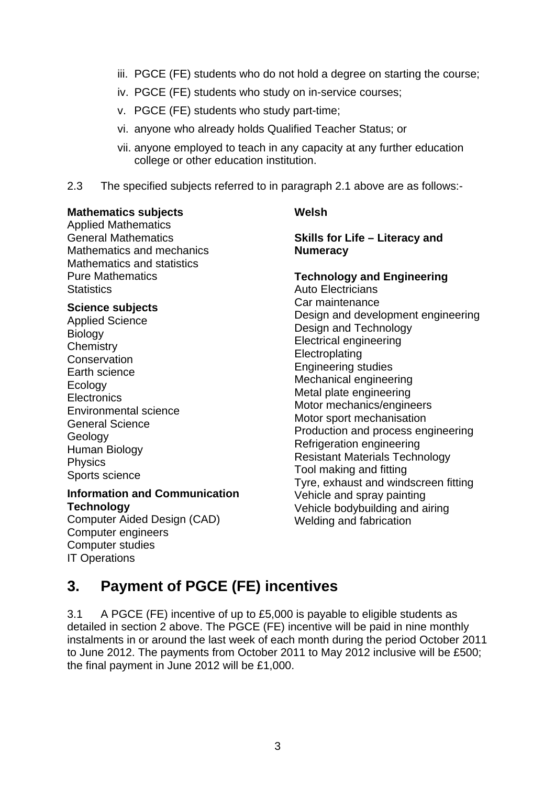- iii. PGCE (FE) students who do not hold a degree on starting the course;
- iv. PGCE (FE) students who study on in-service courses;
- v. PGCE (FE) students who study part-time;
- vi. anyone who already holds Qualified Teacher Status; or
- vii. anyone employed to teach in any capacity at any further education college or other education institution.
- 2.3 The specified subjects referred to in paragraph 2.1 above are as follows:-

#### **Mathematics subjects**

Applied Mathematics General Mathematics Mathematics and mechanics Mathematics and statistics Pure Mathematics **Statistics** 

#### **Science subjects**

Applied Science **Biology Chemistry Conservation** Earth science Ecology **Electronics** Environmental science General Science **Geology** Human Biology Physics Sports science

#### **Information and Communication Technology**

Computer Aided Design (CAD) Computer engineers Computer studies IT Operations

#### **Welsh**

**Skills for Life – Literacy and Numeracy** 

# **Technology and Engineering**

Auto Electricians Car maintenance Design and development engineering Design and Technology Electrical engineering **Electroplating** Engineering studies Mechanical engineering Metal plate engineering Motor mechanics/engineers Motor sport mechanisation Production and process engineering Refrigeration engineering Resistant Materials Technology Tool making and fitting Tyre, exhaust and windscreen fitting Vehicle and spray painting Vehicle bodybuilding and airing Welding and fabrication

# **3. Payment of PGCE (FE) incentives**

3.1 A PGCE (FE) incentive of up to £5,000 is payable to eligible students as detailed in section 2 above. The PGCE (FE) incentive will be paid in nine monthly instalments in or around the last week of each month during the period October 2011 to June 2012. The payments from October 2011 to May 2012 inclusive will be £500; the final payment in June 2012 will be £1,000.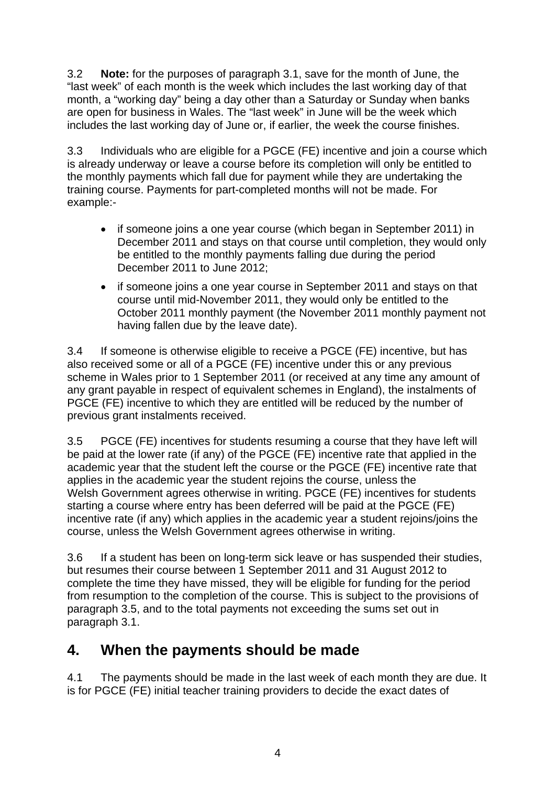3.2 **Note:** for the purposes of paragraph 3.1, save for the month of June, the "last week" of each month is the week which includes the last working day of that month, a "working day" being a day other than a Saturday or Sunday when banks are open for business in Wales. The "last week" in June will be the week which includes the last working day of June or, if earlier, the week the course finishes.

3.3 Individuals who are eligible for a PGCE (FE) incentive and join a course which is already underway or leave a course before its completion will only be entitled to the monthly payments which fall due for payment while they are undertaking the training course. Payments for part-completed months will not be made. For example:-

- if someone joins a one year course (which began in September 2011) in December 2011 and stays on that course until completion, they would only be entitled to the monthly payments falling due during the period December 2011 to June 2012;
- if someone joins a one year course in September 2011 and stays on that course until mid-November 2011, they would only be entitled to the October 2011 monthly payment (the November 2011 monthly payment not having fallen due by the leave date).

3.4 If someone is otherwise eligible to receive a PGCE (FE) incentive, but has also received some or all of a PGCE (FE) incentive under this or any previous scheme in Wales prior to 1 September 2011 (or received at any time any amount of any grant payable in respect of equivalent schemes in England), the instalments of PGCE (FE) incentive to which they are entitled will be reduced by the number of previous grant instalments received.

3.5 PGCE (FE) incentives for students resuming a course that they have left will be paid at the lower rate (if any) of the PGCE (FE) incentive rate that applied in the academic year that the student left the course or the PGCE (FE) incentive rate that applies in the academic year the student rejoins the course, unless the Welsh Government agrees otherwise in writing. PGCE (FE) incentives for students starting a course where entry has been deferred will be paid at the PGCE (FE) incentive rate (if any) which applies in the academic year a student rejoins/joins the course, unless the Welsh Government agrees otherwise in writing.

3.6 If a student has been on long-term sick leave or has suspended their studies, but resumes their course between 1 September 2011 and 31 August 2012 to complete the time they have missed, they will be eligible for funding for the period from resumption to the completion of the course. This is subject to the provisions of paragraph 3.5, and to the total payments not exceeding the sums set out in paragraph 3.1.

# **4. When the payments should be made**

4.1 The payments should be made in the last week of each month they are due. It is for PGCE (FE) initial teacher training providers to decide the exact dates of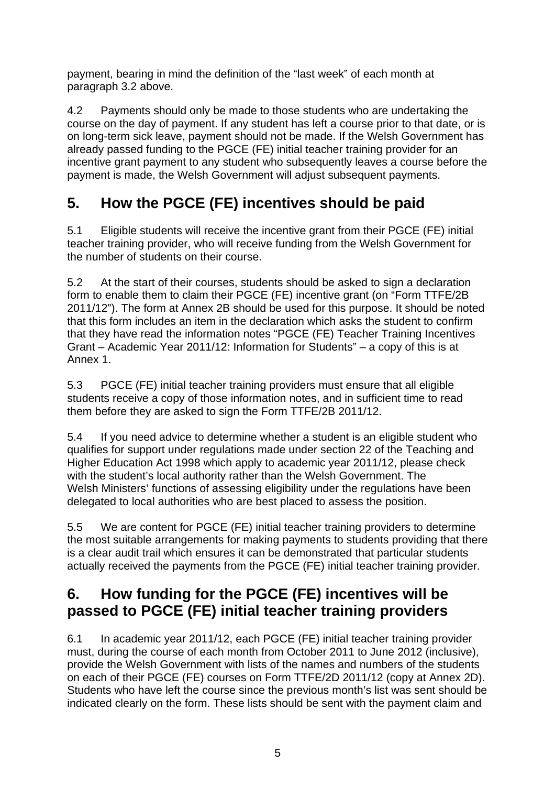payment, bearing in mind the definition of the "last week" of each month at paragraph 3.2 above.

4.2 Payments should only be made to those students who are undertaking the course on the day of payment. If any student has left a course prior to that date, or is on long-term sick leave, payment should not be made. If the Welsh Government has already passed funding to the PGCE (FE) initial teacher training provider for an incentive grant payment to any student who subsequently leaves a course before the payment is made, the Welsh Government will adjust subsequent payments.

# **5. How the PGCE (FE) incentives should be paid**

5.1 Eligible students will receive the incentive grant from their PGCE (FE) initial teacher training provider, who will receive funding from the Welsh Government for the number of students on their course.

5.2 At the start of their courses, students should be asked to sign a declaration form to enable them to claim their PGCE (FE) incentive grant (on "Form TTFE/2B 2011/12"). The form at Annex 2B should be used for this purpose. It should be noted that this form includes an item in the declaration which asks the student to confirm that they have read the information notes "PGCE (FE) Teacher Training Incentives Grant – Academic Year 2011/12: Information for Students" – a copy of this is at Annex 1.

5.3 PGCE (FE) initial teacher training providers must ensure that all eligible students receive a copy of those information notes, and in sufficient time to read them before they are asked to sign the Form TTFE/2B 2011/12.

5.4 If you need advice to determine whether a student is an eligible student who qualifies for support under regulations made under section 22 of the Teaching and Higher Education Act 1998 which apply to academic year 2011/12, please check with the student's local authority rather than the Welsh Government. The Welsh Ministers' functions of assessing eligibility under the regulations have been delegated to local authorities who are best placed to assess the position.

5.5 We are content for PGCE (FE) initial teacher training providers to determine the most suitable arrangements for making payments to students providing that there is a clear audit trail which ensures it can be demonstrated that particular students actually received the payments from the PGCE (FE) initial teacher training provider.

# **6. How funding for the PGCE (FE) incentives will be passed to PGCE (FE) initial teacher training providers**

6.1 In academic year 2011/12, each PGCE (FE) initial teacher training provider must, during the course of each month from October 2011 to June 2012 (inclusive), provide the Welsh Government with lists of the names and numbers of the students on each of their PGCE (FE) courses on Form TTFE/2D 2011/12 (copy at Annex 2D). Students who have left the course since the previous month's list was sent should be indicated clearly on the form. These lists should be sent with the payment claim and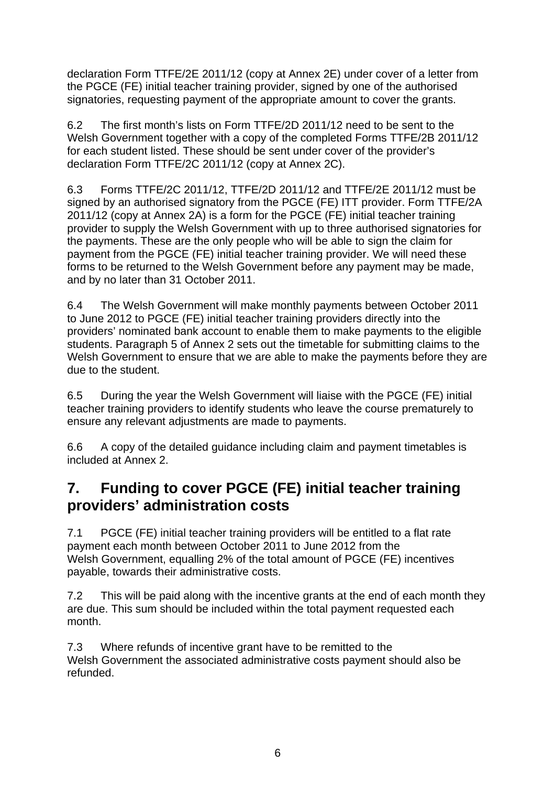declaration Form TTFE/2E 2011/12 (copy at Annex 2E) under cover of a letter from the PGCE (FE) initial teacher training provider, signed by one of the authorised signatories, requesting payment of the appropriate amount to cover the grants.

6.2 The first month's lists on Form TTFE/2D 2011/12 need to be sent to the Welsh Government together with a copy of the completed Forms TTFE/2B 2011/12 for each student listed. These should be sent under cover of the provider's declaration Form TTFE/2C 2011/12 (copy at Annex 2C).

6.3 Forms TTFE/2C 2011/12, TTFE/2D 2011/12 and TTFE/2E 2011/12 must be signed by an authorised signatory from the PGCE (FE) ITT provider. Form TTFE/2A 2011/12 (copy at Annex 2A) is a form for the PGCE (FE) initial teacher training provider to supply the Welsh Government with up to three authorised signatories for the payments. These are the only people who will be able to sign the claim for payment from the PGCE (FE) initial teacher training provider. We will need these forms to be returned to the Welsh Government before any payment may be made, and by no later than 31 October 2011.

6.4 The Welsh Government will make monthly payments between October 2011 to June 2012 to PGCE (FE) initial teacher training providers directly into the providers' nominated bank account to enable them to make payments to the eligible students. Paragraph 5 of Annex 2 sets out the timetable for submitting claims to the Welsh Government to ensure that we are able to make the payments before they are due to the student.

6.5 During the year the Welsh Government will liaise with the PGCE (FE) initial teacher training providers to identify students who leave the course prematurely to ensure any relevant adjustments are made to payments.

6.6 A copy of the detailed guidance including claim and payment timetables is included at Annex 2.

# **7. Funding to cover PGCE (FE) initial teacher training providers' administration costs**

7.1 PGCE (FE) initial teacher training providers will be entitled to a flat rate payment each month between October 2011 to June 2012 from the Welsh Government, equalling 2% of the total amount of PGCE (FE) incentives payable, towards their administrative costs.

7.2 This will be paid along with the incentive grants at the end of each month they are due. This sum should be included within the total payment requested each month.

7.3 Where refunds of incentive grant have to be remitted to the Welsh Government the associated administrative costs payment should also be refunded.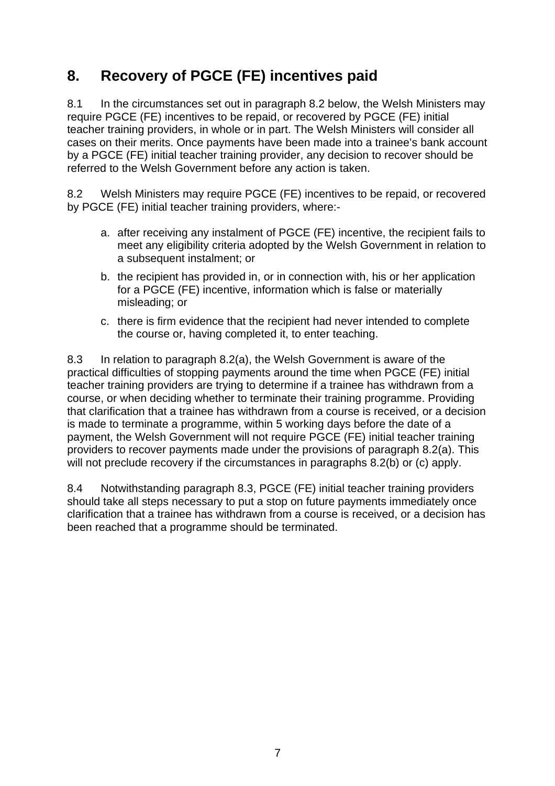# **8. Recovery of PGCE (FE) incentives paid**

8.1 In the circumstances set out in paragraph 8.2 below, the Welsh Ministers may require PGCE (FE) incentives to be repaid, or recovered by PGCE (FE) initial teacher training providers, in whole or in part. The Welsh Ministers will consider all cases on their merits. Once payments have been made into a trainee's bank account by a PGCE (FE) initial teacher training provider, any decision to recover should be referred to the Welsh Government before any action is taken.

8.2 Welsh Ministers may require PGCE (FE) incentives to be repaid, or recovered by PGCE (FE) initial teacher training providers, where:-

- a. after receiving any instalment of PGCE (FE) incentive, the recipient fails to meet any eligibility criteria adopted by the Welsh Government in relation to a subsequent instalment; or
- b. the recipient has provided in, or in connection with, his or her application for a PGCE (FE) incentive, information which is false or materially misleading; or
- c. there is firm evidence that the recipient had never intended to complete the course or, having completed it, to enter teaching.

8.3 In relation to paragraph 8.2(a), the Welsh Government is aware of the practical difficulties of stopping payments around the time when PGCE (FE) initial teacher training providers are trying to determine if a trainee has withdrawn from a course, or when deciding whether to terminate their training programme. Providing that clarification that a trainee has withdrawn from a course is received, or a decision is made to terminate a programme, within 5 working days before the date of a payment, the Welsh Government will not require PGCE (FE) initial teacher training providers to recover payments made under the provisions of paragraph 8.2(a). This will not preclude recovery if the circumstances in paragraphs 8.2(b) or (c) apply.

8.4 Notwithstanding paragraph 8.3, PGCE (FE) initial teacher training providers should take all steps necessary to put a stop on future payments immediately once clarification that a trainee has withdrawn from a course is received, or a decision has been reached that a programme should be terminated.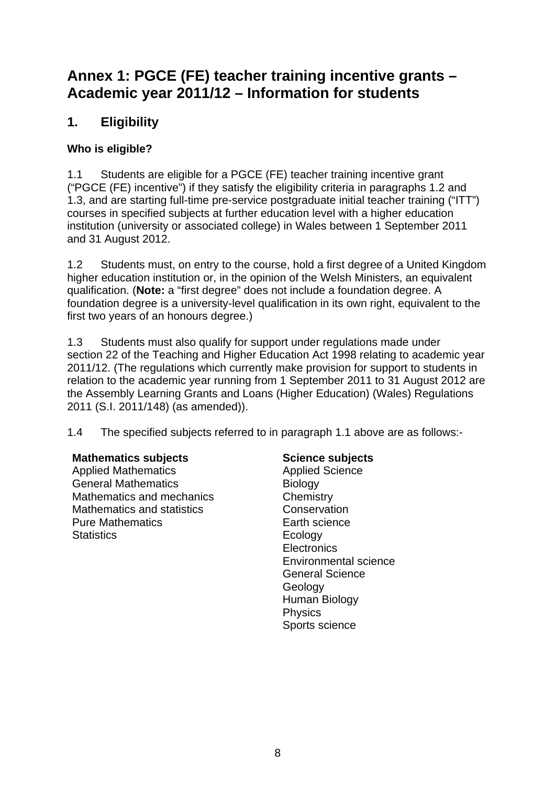# **Annex 1: PGCE (FE) teacher training incentive grants – Academic year 2011/12 – Information for students**

# **1. Eligibility**

# **Who is eligible?**

1.1 Students are eligible for a PGCE (FE) teacher training incentive grant ("PGCE (FE) incentive") if they satisfy the eligibility criteria in paragraphs 1.2 and 1.3, and are starting full-time pre-service postgraduate initial teacher training ("ITT") courses in specified subjects at further education level with a higher education institution (university or associated college) in Wales between 1 September 2011 and 31 August 2012.

1.2 Students must, on entry to the course, hold a first degree of a United Kingdom higher education institution or, in the opinion of the Welsh Ministers, an equivalent qualification. (**Note:** a "first degree" does not include a foundation degree. A foundation degree is a university-level qualification in its own right, equivalent to the first two years of an honours degree.)

1.3 Students must also qualify for support under regulations made under section 22 of the Teaching and Higher Education Act 1998 relating to academic year 2011/12. (The regulations which currently make provision for support to students in relation to the academic year running from 1 September 2011 to 31 August 2012 are the Assembly Learning Grants and Loans (Higher Education) (Wales) Regulations 2011 (S.I. 2011/148) (as amended)).

1.4 The specified subjects referred to in paragraph 1.1 above are as follows:-

# **Mathematics subjects**

Applied Mathematics General Mathematics Mathematics and mechanics Mathematics and statistics Pure Mathematics **Statistics** 

# **Science subjects**

Applied Science **Biology Chemistry Conservation** Earth science **Ecology Electronics** Environmental science General Science Geology Human Biology **Physics** Sports science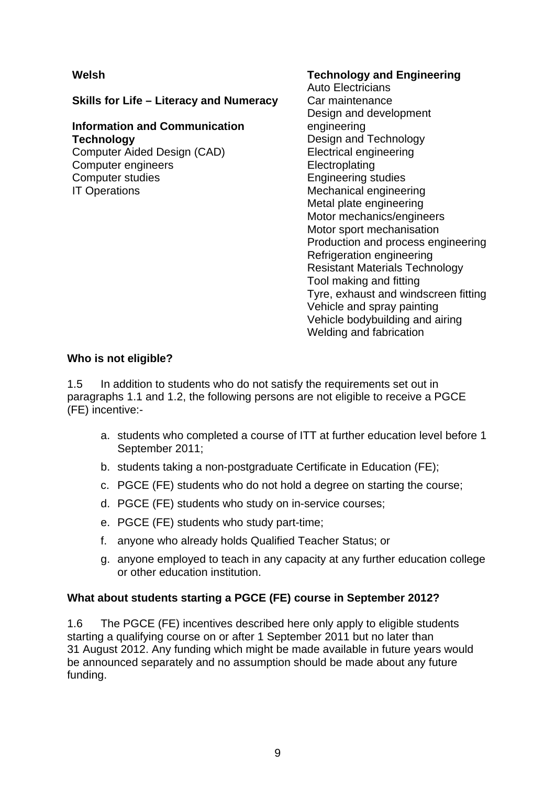# **Welsh**

**Skills for Life – Literacy and Numeracy** 

# **Information and Communication Technology**

Computer Aided Design (CAD) Computer engineers Computer studies IT Operations

#### **Technology and Engineering**

Auto Electricians Car maintenance Design and development engineering Design and Technology Electrical engineering **Electroplating** Engineering studies Mechanical engineering Metal plate engineering Motor mechanics/engineers Motor sport mechanisation Production and process engineering Refrigeration engineering Resistant Materials Technology Tool making and fitting Tyre, exhaust and windscreen fitting Vehicle and spray painting Vehicle bodybuilding and airing Welding and fabrication

#### **Who is not eligible?**

1.5 In addition to students who do not satisfy the requirements set out in paragraphs 1.1 and 1.2, the following persons are not eligible to receive a PGCE (FE) incentive:-

- a. students who completed a course of ITT at further education level before 1 September 2011;
- b. students taking a non-postgraduate Certificate in Education (FE);
- c. PGCE (FE) students who do not hold a degree on starting the course;
- d. PGCE (FE) students who study on in-service courses;
- e. PGCE (FE) students who study part-time;
- f. anyone who already holds Qualified Teacher Status; or
- g. anyone employed to teach in any capacity at any further education college or other education institution.

# **What about students starting a PGCE (FE) course in September 2012?**

1.6 The PGCE (FE) incentives described here only apply to eligible students starting a qualifying course on or after 1 September 2011 but no later than 31 August 2012. Any funding which might be made available in future years would be announced separately and no assumption should be made about any future funding.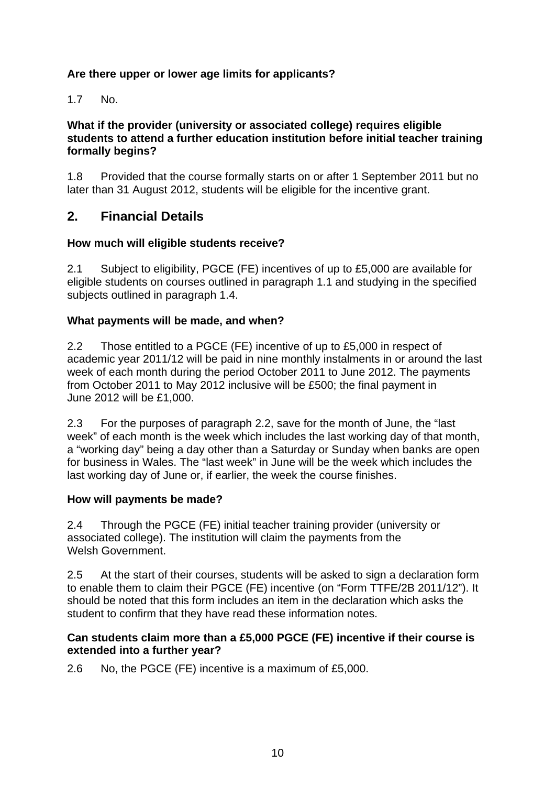# **Are there upper or lower age limits for applicants?**

1.7 No.

#### **What if the provider (university or associated college) requires eligible students to attend a further education institution before initial teacher training formally begins?**

1.8 Provided that the course formally starts on or after 1 September 2011 but no later than 31 August 2012, students will be eligible for the incentive grant.

# **2. Financial Details**

#### **How much will eligible students receive?**

2.1 Subject to eligibility, PGCE (FE) incentives of up to £5,000 are available for eligible students on courses outlined in paragraph 1.1 and studying in the specified subjects outlined in paragraph 1.4.

#### **What payments will be made, and when?**

2.2 Those entitled to a PGCE (FE) incentive of up to £5,000 in respect of academic year 2011/12 will be paid in nine monthly instalments in or around the last week of each month during the period October 2011 to June 2012. The payments from October 2011 to May 2012 inclusive will be £500; the final payment in June 2012 will be £1,000.

2.3 For the purposes of paragraph 2.2, save for the month of June, the "last week" of each month is the week which includes the last working day of that month, a "working day" being a day other than a Saturday or Sunday when banks are open for business in Wales. The "last week" in June will be the week which includes the last working day of June or, if earlier, the week the course finishes.

#### **How will payments be made?**

2.4 Through the PGCE (FE) initial teacher training provider (university or associated college). The institution will claim the payments from the Welsh Government

2.5 At the start of their courses, students will be asked to sign a declaration form to enable them to claim their PGCE (FE) incentive (on "Form TTFE/2B 2011/12"). It should be noted that this form includes an item in the declaration which asks the student to confirm that they have read these information notes.

#### **Can students claim more than a £5,000 PGCE (FE) incentive if their course is extended into a further year?**

2.6 No, the PGCE (FE) incentive is a maximum of £5,000.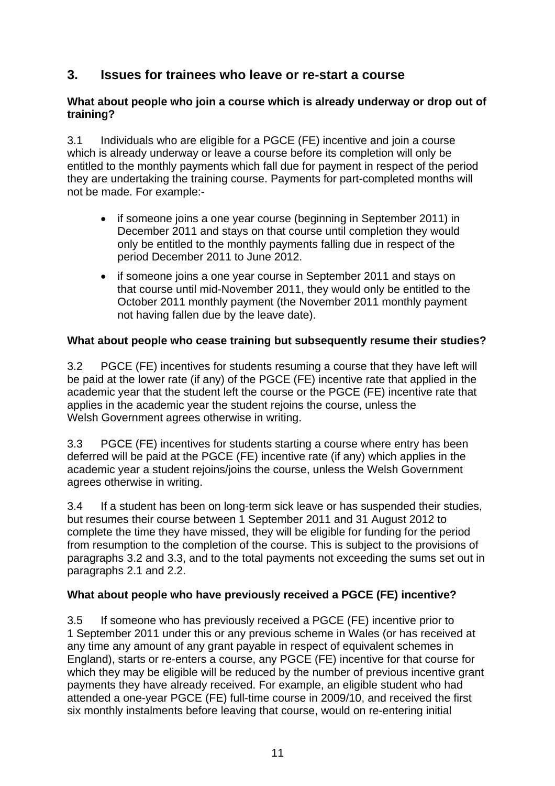# **3. Issues for trainees who leave or re-start a course**

#### **What about people who join a course which is already underway or drop out of training?**

3.1 Individuals who are eligible for a PGCE (FE) incentive and join a course which is already underway or leave a course before its completion will only be entitled to the monthly payments which fall due for payment in respect of the period they are undertaking the training course. Payments for part-completed months will not be made. For example:-

- if someone joins a one year course (beginning in September 2011) in December 2011 and stays on that course until completion they would only be entitled to the monthly payments falling due in respect of the period December 2011 to June 2012.
- if someone joins a one year course in September 2011 and stays on that course until mid-November 2011, they would only be entitled to the October 2011 monthly payment (the November 2011 monthly payment not having fallen due by the leave date).

# **What about people who cease training but subsequently resume their studies?**

3.2 PGCE (FE) incentives for students resuming a course that they have left will be paid at the lower rate (if any) of the PGCE (FE) incentive rate that applied in the academic year that the student left the course or the PGCE (FE) incentive rate that applies in the academic year the student rejoins the course, unless the Welsh Government agrees otherwise in writing.

3.3 PGCE (FE) incentives for students starting a course where entry has been deferred will be paid at the PGCE (FE) incentive rate (if any) which applies in the academic year a student rejoins/joins the course, unless the Welsh Government agrees otherwise in writing.

3.4 If a student has been on long-term sick leave or has suspended their studies, but resumes their course between 1 September 2011 and 31 August 2012 to complete the time they have missed, they will be eligible for funding for the period from resumption to the completion of the course. This is subject to the provisions of paragraphs 3.2 and 3.3, and to the total payments not exceeding the sums set out in paragraphs 2.1 and 2.2.

# **What about people who have previously received a PGCE (FE) incentive?**

3.5 If someone who has previously received a PGCE (FE) incentive prior to 1 September 2011 under this or any previous scheme in Wales (or has received at any time any amount of any grant payable in respect of equivalent schemes in England), starts or re-enters a course, any PGCE (FE) incentive for that course for which they may be eligible will be reduced by the number of previous incentive grant payments they have already received. For example, an eligible student who had attended a one-year PGCE (FE) full-time course in 2009/10, and received the first six monthly instalments before leaving that course, would on re-entering initial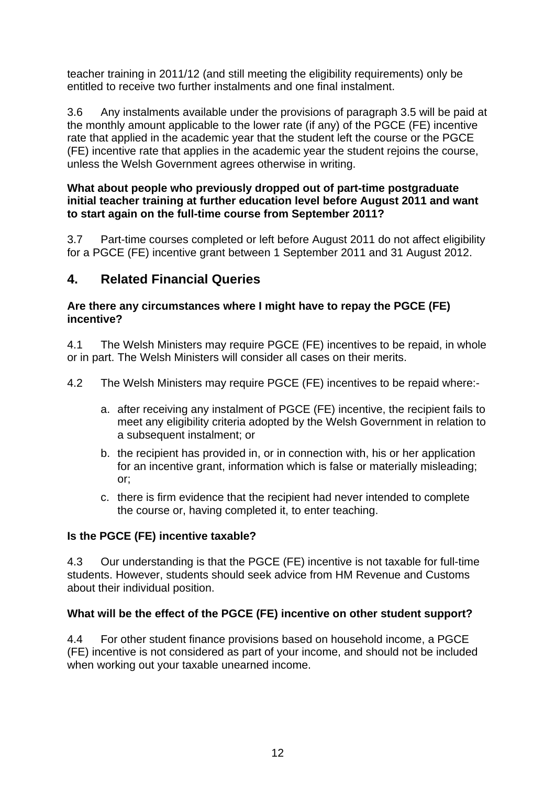teacher training in 2011/12 (and still meeting the eligibility requirements) only be entitled to receive two further instalments and one final instalment.

3.6 Any instalments available under the provisions of paragraph 3.5 will be paid at the monthly amount applicable to the lower rate (if any) of the PGCE (FE) incentive rate that applied in the academic year that the student left the course or the PGCE (FE) incentive rate that applies in the academic year the student rejoins the course, unless the Welsh Government agrees otherwise in writing.

#### **What about people who previously dropped out of part-time postgraduate initial teacher training at further education level before August 2011 and want to start again on the full-time course from September 2011?**

3.7 Part-time courses completed or left before August 2011 do not affect eligibility for a PGCE (FE) incentive grant between 1 September 2011 and 31 August 2012.

# **4. Related Financial Queries**

#### **Are there any circumstances where I might have to repay the PGCE (FE) incentive?**

4.1 The Welsh Ministers may require PGCE (FE) incentives to be repaid, in whole or in part. The Welsh Ministers will consider all cases on their merits.

4.2 The Welsh Ministers may require PGCE (FE) incentives to be repaid where:-

- a. after receiving any instalment of PGCE (FE) incentive, the recipient fails to meet any eligibility criteria adopted by the Welsh Government in relation to a subsequent instalment; or
- b. the recipient has provided in, or in connection with, his or her application for an incentive grant, information which is false or materially misleading; or;
- c. there is firm evidence that the recipient had never intended to complete the course or, having completed it, to enter teaching.

# **Is the PGCE (FE) incentive taxable?**

4.3 Our understanding is that the PGCE (FE) incentive is not taxable for full-time students. However, students should seek advice from HM Revenue and Customs about their individual position.

# **What will be the effect of the PGCE (FE) incentive on other student support?**

4.4 For other student finance provisions based on household income, a PGCE (FE) incentive is not considered as part of your income, and should not be included when working out your taxable unearned income.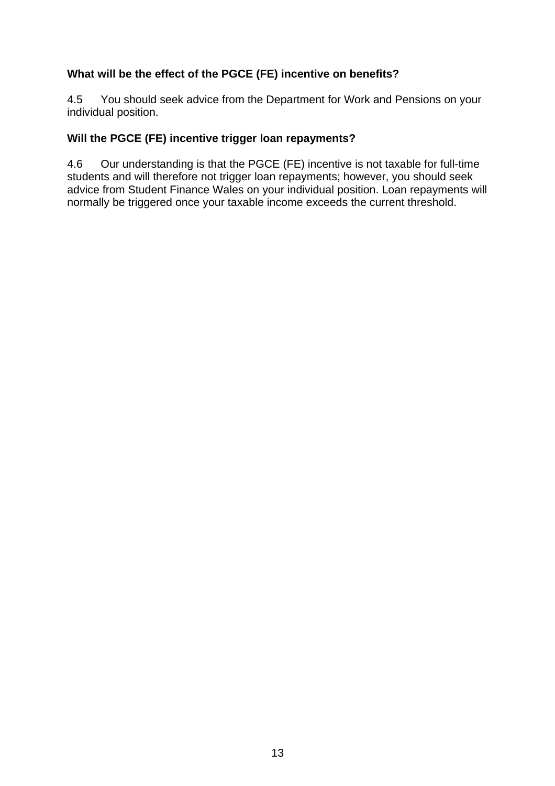# **What will be the effect of the PGCE (FE) incentive on benefits?**

4.5 You should seek advice from the Department for Work and Pensions on your individual position.

#### **Will the PGCE (FE) incentive trigger loan repayments?**

4.6 Our understanding is that the PGCE (FE) incentive is not taxable for full-time students and will therefore not trigger loan repayments; however, you should seek advice from Student Finance Wales on your individual position. Loan repayments will normally be triggered once your taxable income exceeds the current threshold.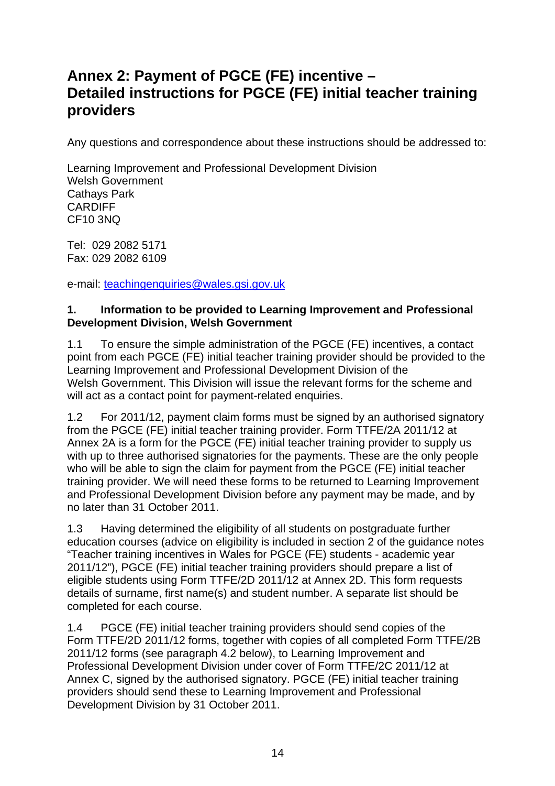# **Annex 2: Payment of PGCE (FE) incentive – Detailed instructions for PGCE (FE) initial teacher training providers**

Any questions and correspondence about these instructions should be addressed to:

Learning Improvement and Professional Development Division Welsh Government Cathays Park CARDIFF CF10 3NQ

Tel: 029 2082 5171 Fax: 029 2082 6109

e-mail: [teachingenquiries@wales.gsi.gov.uk](mailto:teachingenquiries@wales.gsi.gov.uk)

#### **1. Information to be provided to Learning Improvement and Professional Development Division, Welsh Government**

1.1 To ensure the simple administration of the PGCE (FE) incentives, a contact point from each PGCE (FE) initial teacher training provider should be provided to the Learning Improvement and Professional Development Division of the Welsh Government. This Division will issue the relevant forms for the scheme and will act as a contact point for payment-related enquiries.

1.2 For 2011/12, payment claim forms must be signed by an authorised signatory from the PGCE (FE) initial teacher training provider. Form TTFE/2A 2011/12 at Annex 2A is a form for the PGCE (FE) initial teacher training provider to supply us with up to three authorised signatories for the payments. These are the only people who will be able to sign the claim for payment from the PGCE (FE) initial teacher training provider. We will need these forms to be returned to Learning Improvement and Professional Development Division before any payment may be made, and by no later than 31 October 2011.

1.3 Having determined the eligibility of all students on postgraduate further education courses (advice on eligibility is included in section 2 of the guidance notes "Teacher training incentives in Wales for PGCE (FE) students - academic year 2011/12"), PGCE (FE) initial teacher training providers should prepare a list of eligible students using Form TTFE/2D 2011/12 at Annex 2D. This form requests details of surname, first name(s) and student number. A separate list should be completed for each course.

1.4 PGCE (FE) initial teacher training providers should send copies of the Form TTFE/2D 2011/12 forms, together with copies of all completed Form TTFE/2B 2011/12 forms (see paragraph 4.2 below), to Learning Improvement and Professional Development Division under cover of Form TTFE/2C 2011/12 at Annex C, signed by the authorised signatory. PGCE (FE) initial teacher training providers should send these to Learning Improvement and Professional Development Division by 31 October 2011.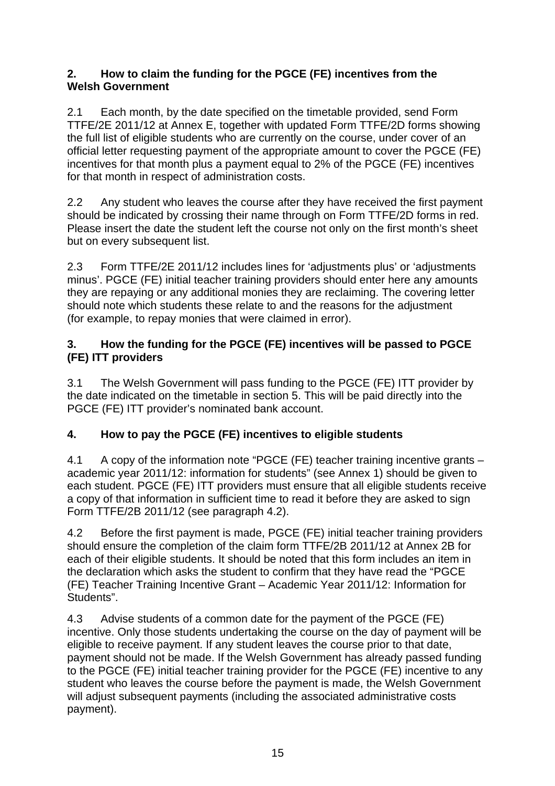# **2. How to claim the funding for the PGCE (FE) incentives from the Welsh Government**

2.1 Each month, by the date specified on the timetable provided, send Form TTFE/2E 2011/12 at Annex E, together with updated Form TTFE/2D forms showing the full list of eligible students who are currently on the course, under cover of an official letter requesting payment of the appropriate amount to cover the PGCE (FE) incentives for that month plus a payment equal to 2% of the PGCE (FE) incentives for that month in respect of administration costs.

2.2 Any student who leaves the course after they have received the first payment should be indicated by crossing their name through on Form TTFE/2D forms in red. Please insert the date the student left the course not only on the first month's sheet but on every subsequent list.

2.3 Form TTFE/2E 2011/12 includes lines for 'adjustments plus' or 'adjustments minus'. PGCE (FE) initial teacher training providers should enter here any amounts they are repaying or any additional monies they are reclaiming. The covering letter should note which students these relate to and the reasons for the adjustment (for example, to repay monies that were claimed in error).

# **3. How the funding for the PGCE (FE) incentives will be passed to PGCE (FE) ITT providers**

3.1 The Welsh Government will pass funding to the PGCE (FE) ITT provider by the date indicated on the timetable in section 5. This will be paid directly into the PGCE (FE) ITT provider's nominated bank account.

# **4. How to pay the PGCE (FE) incentives to eligible students**

4.1 A copy of the information note "PGCE (FE) teacher training incentive grants – academic year 2011/12: information for students" (see Annex 1) should be given to each student. PGCE (FE) ITT providers must ensure that all eligible students receive a copy of that information in sufficient time to read it before they are asked to sign Form TTFE/2B 2011/12 (see paragraph 4.2).

4.2 Before the first payment is made, PGCE (FE) initial teacher training providers should ensure the completion of the claim form TTFE/2B 2011/12 at Annex 2B for each of their eligible students. It should be noted that this form includes an item in the declaration which asks the student to confirm that they have read the "PGCE (FE) Teacher Training Incentive Grant – Academic Year 2011/12: Information for Students".

4.3 Advise students of a common date for the payment of the PGCE (FE) incentive. Only those students undertaking the course on the day of payment will be eligible to receive payment. If any student leaves the course prior to that date, payment should not be made. If the Welsh Government has already passed funding to the PGCE (FE) initial teacher training provider for the PGCE (FE) incentive to any student who leaves the course before the payment is made, the Welsh Government will adjust subsequent payments (including the associated administrative costs payment).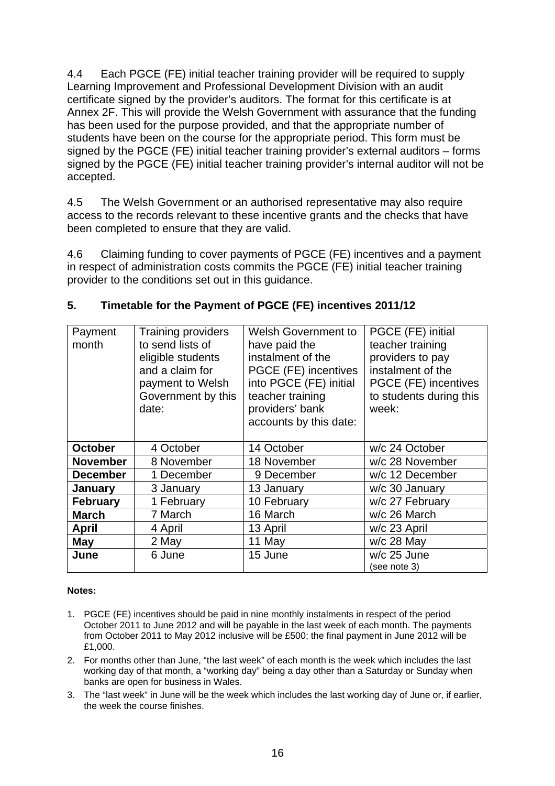4.4 Each PGCE (FE) initial teacher training provider will be required to supply Learning Improvement and Professional Development Division with an audit certificate signed by the provider's auditors. The format for this certificate is at Annex 2F. This will provide the Welsh Government with assurance that the funding has been used for the purpose provided, and that the appropriate number of students have been on the course for the appropriate period. This form must be signed by the PGCE (FE) initial teacher training provider's external auditors – forms signed by the PGCE (FE) initial teacher training provider's internal auditor will not be accepted.

4.5 The Welsh Government or an authorised representative may also require access to the records relevant to these incentive grants and the checks that have been completed to ensure that they are valid.

4.6 Claiming funding to cover payments of PGCE (FE) incentives and a payment in respect of administration costs commits the PGCE (FE) initial teacher training provider to the conditions set out in this guidance.

| Payment         | <b>Training providers</b> | <b>Welsh Government to</b> | PGCE (FE) initial       |
|-----------------|---------------------------|----------------------------|-------------------------|
| month           | to send lists of          | have paid the              | teacher training        |
|                 | eligible students         | instalment of the          | providers to pay        |
|                 | and a claim for           | PGCE (FE) incentives       | instalment of the       |
|                 | payment to Welsh          | into PGCE (FE) initial     | PGCE (FE) incentives    |
|                 | Government by this        | teacher training           | to students during this |
|                 | date:                     | providers' bank            | week:                   |
|                 |                           | accounts by this date:     |                         |
|                 |                           |                            |                         |
| <b>October</b>  | 4 October                 | 14 October                 | w/c 24 October          |
| <b>November</b> | 8 November                | 18 November                | w/c 28 November         |
| <b>December</b> | 1 December                | 9 December                 | w/c 12 December         |
| January         | 3 January                 | 13 January                 | w/c 30 January          |
| <b>February</b> | 1 February                | 10 February                | w/c 27 February         |
| <b>March</b>    | 7 March                   | 16 March                   | w/c 26 March            |
| <b>April</b>    | 4 April                   | 13 April                   | w/c 23 April            |
| May             | 2 May                     | 11 May                     | $w/c$ 28 May            |
| June            | 6 June                    | 15 June                    | w/c 25 June             |
|                 |                           |                            | (see note 3)            |

# **5. Timetable for the Payment of PGCE (FE) incentives 2011/12**

#### **Notes:**

- 1. PGCE (FE) incentives should be paid in nine monthly instalments in respect of the period October 2011 to June 2012 and will be payable in the last week of each month. The payments from October 2011 to May 2012 inclusive will be £500; the final payment in June 2012 will be £1,000.
- 2. For months other than June, "the last week" of each month is the week which includes the last working day of that month, a "working day" being a day other than a Saturday or Sunday when banks are open for business in Wales.
- 3. The "last week" in June will be the week which includes the last working day of June or, if earlier, the week the course finishes.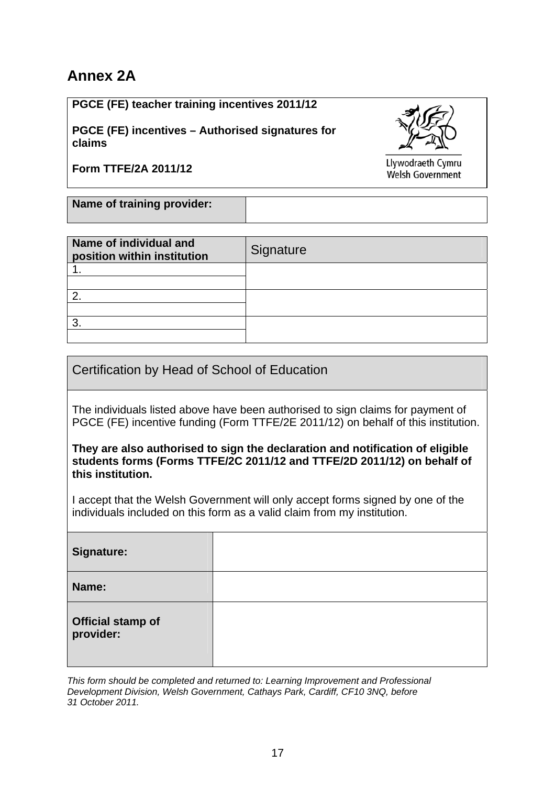# **Annex 2A**

**PGCE (FE) teacher training incentives 2011/12** 

**PGCE (FE) incentives – Authorised signatures for claims** 

**Form TTFE/2A 2011/12** 

Llywodraeth Cymru Welsh Government

**Name of training provider:**

| Name of individual and<br>position within institution | Signature |
|-------------------------------------------------------|-----------|
|                                                       |           |
|                                                       |           |
| ◠                                                     |           |
|                                                       |           |
| っ                                                     |           |
|                                                       |           |

Certification by Head of School of Education

The individuals listed above have been authorised to sign claims for payment of PGCE (FE) incentive funding (Form TTFE/2E 2011/12) on behalf of this institution.

**They are also authorised to sign the declaration and notification of eligible students forms (Forms TTFE/2C 2011/12 and TTFE/2D 2011/12) on behalf of this institution.** 

I accept that the Welsh Government will only accept forms signed by one of the individuals included on this form as a valid claim from my institution.

| Signature:                            |  |
|---------------------------------------|--|
| Name:                                 |  |
| <b>Official stamp of</b><br>provider: |  |

*This form should be completed and returned to: Learning Improvement and Professional Development Division, Welsh Government, Cathays Park, Cardiff, CF10 3NQ, before 31 October 2011.*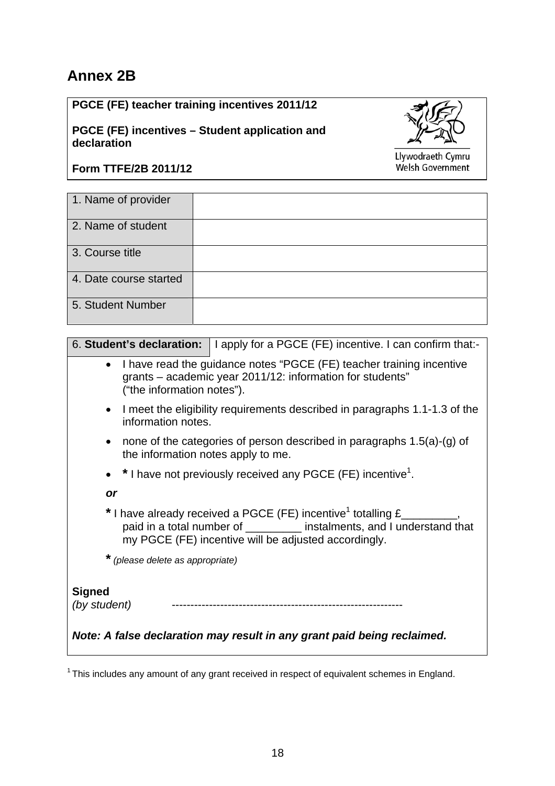# **Annex 2B**

**PGCE (FE) teacher training incentives 2011/12** 

**PGCE (FE) incentives – Student application and declaration** 



Llywodraeth Cymru Welsh Government

# **Form TTFE/2B 2011/12**

| 1. Name of provider    |  |
|------------------------|--|
| 2. Name of student     |  |
| 3. Course title        |  |
| 4. Date course started |  |
| 5. Student Number      |  |

|                                                 | 6. Student's declaration:   I apply for a PGCE (FE) incentive. I can confirm that:-                                                                                                                                  |
|-------------------------------------------------|----------------------------------------------------------------------------------------------------------------------------------------------------------------------------------------------------------------------|
| ("the information notes").                      | • I have read the guidance notes "PGCE (FE) teacher training incentive<br>grants – academic year 2011/12: information for students"                                                                                  |
| $\bullet$<br>information notes.                 | I meet the eligibility requirements described in paragraphs 1.1-1.3 of the                                                                                                                                           |
| $\bullet$<br>the information notes apply to me. | none of the categories of person described in paragraphs $1.5(a)-(g)$ of                                                                                                                                             |
|                                                 | • $*$ I have not previously received any PGCE (FE) incentive <sup>1</sup> .                                                                                                                                          |
| or                                              |                                                                                                                                                                                                                      |
|                                                 | * I have already received a PGCE (FE) incentive <sup>1</sup> totalling £_________,<br>paid in a total number of _________ instalments, and I understand that<br>my PGCE (FE) incentive will be adjusted accordingly. |
| * (please delete as appropriate)                |                                                                                                                                                                                                                      |
| <b>Signed</b><br>(by student)                   |                                                                                                                                                                                                                      |
|                                                 | Note: A false declaration may result in any grant paid being reclaimed.                                                                                                                                              |

<sup>1</sup> This includes any amount of any grant received in respect of equivalent schemes in England.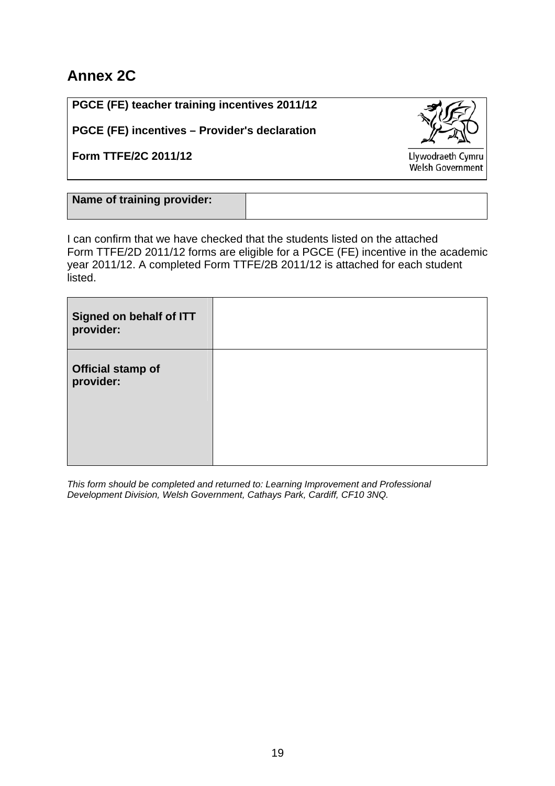# **Annex 2C**

**PGCE (FE) teacher training incentives 2011/12** 

**PGCE (FE) incentives – Provider's declaration** 

**Form TTFE/2C 2011/12** 

Llywodraeth Cymru Welsh Government

| Name of training provider: |  |
|----------------------------|--|
|                            |  |
|                            |  |
|                            |  |

I can confirm that we have checked that the students listed on the attached Form TTFE/2D 2011/12 forms are eligible for a PGCE (FE) incentive in the academic year 2011/12. A completed Form TTFE/2B 2011/12 is attached for each student listed.

| <b>Official stamp of</b><br>provider: | Signed on behalf of ITT<br>provider: |  |
|---------------------------------------|--------------------------------------|--|
|                                       |                                      |  |

*This form should be completed and returned to: Learning Improvement and Professional Development Division, Welsh Government, Cathays Park, Cardiff, CF10 3NQ.*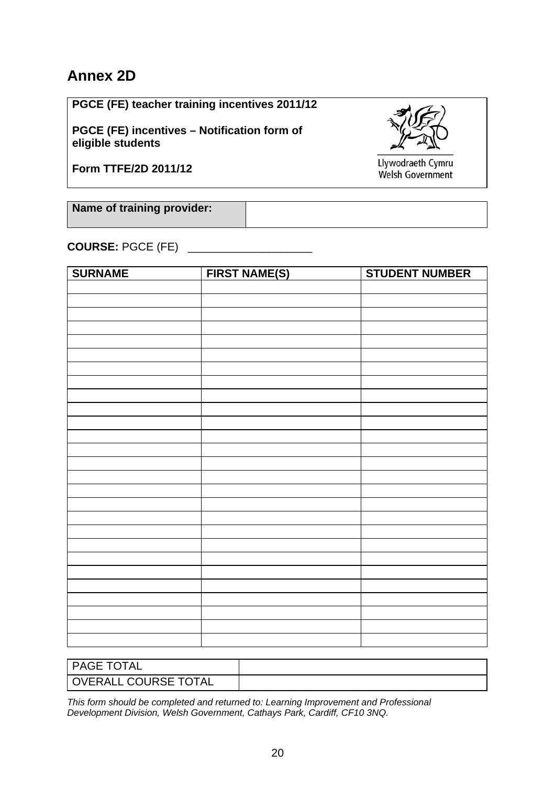# **Annex 2D**

**PGCE (FE) teacher training incentives 2011/12** 

**PGCE (FE) incentives – Notification form of eligible students** 

**Form TTFE/2D 2011/12** 

Llywodraeth Cymru Welsh Government

**Name of training provider:**

**COURSE:** PGCE (FE) \_\_\_\_\_\_\_\_\_\_\_\_\_\_\_\_\_\_\_\_

| <b>SURNAME</b> | <b>FIRST NAME(S)</b> | <b>STUDENT NUMBER</b> |
|----------------|----------------------|-----------------------|
|                |                      |                       |
|                |                      |                       |
|                |                      |                       |
|                |                      |                       |
|                |                      |                       |
|                |                      |                       |
|                |                      |                       |
|                |                      |                       |
|                |                      |                       |
|                |                      |                       |
|                |                      |                       |
|                |                      |                       |
|                |                      |                       |
|                |                      |                       |
|                |                      |                       |
|                |                      |                       |
|                |                      |                       |
|                |                      |                       |
|                |                      |                       |
|                |                      |                       |
|                |                      |                       |
|                |                      |                       |
|                |                      |                       |
|                |                      |                       |
|                |                      |                       |
|                |                      |                       |
|                |                      |                       |

| l PAGE TOTAL         |  |
|----------------------|--|
| OVERALL COURSE TOTAL |  |

*This form should be completed and returned to: Learning Improvement and Professional Development Division, Welsh Government, Cathays Park, Cardiff, CF10 3NQ.*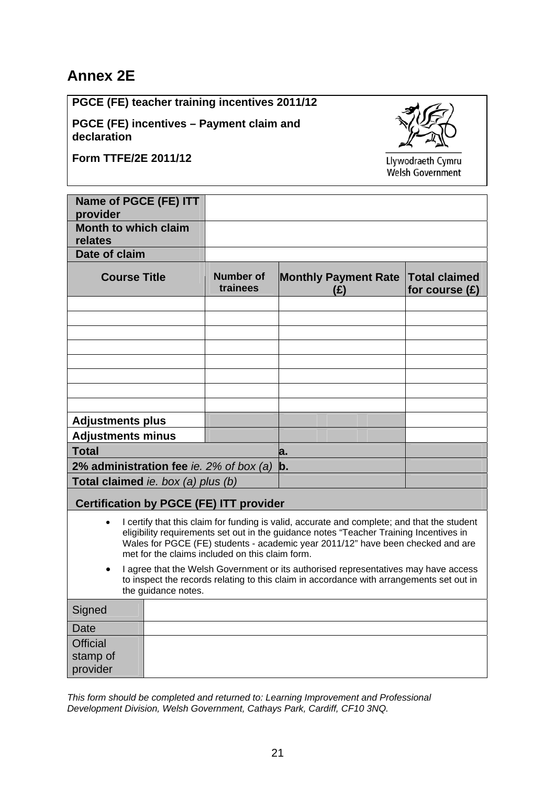# **Annex 2E**

**PGCE (FE) teacher training incentives 2011/12**

**PGCE (FE) incentives – Payment claim and declaration**

**Form TTFE/2E 2011/12** 



Llywodraeth Cymru Welsh Government

| Name of PGCE (FE) ITT<br>provider                                                                                                                                                                                                                                                                                                                                                                                                                                                                                                                  |                                                             |                              |                                    |                                          |
|----------------------------------------------------------------------------------------------------------------------------------------------------------------------------------------------------------------------------------------------------------------------------------------------------------------------------------------------------------------------------------------------------------------------------------------------------------------------------------------------------------------------------------------------------|-------------------------------------------------------------|------------------------------|------------------------------------|------------------------------------------|
| <b>Month to which claim</b><br>relates                                                                                                                                                                                                                                                                                                                                                                                                                                                                                                             |                                                             |                              |                                    |                                          |
| Date of claim                                                                                                                                                                                                                                                                                                                                                                                                                                                                                                                                      |                                                             |                              |                                    |                                          |
| <b>Course Title</b>                                                                                                                                                                                                                                                                                                                                                                                                                                                                                                                                |                                                             | <b>Number of</b><br>trainees | <b>Monthly Payment Rate</b><br>(E) | <b>Total claimed</b><br>for course $(E)$ |
|                                                                                                                                                                                                                                                                                                                                                                                                                                                                                                                                                    |                                                             |                              |                                    |                                          |
|                                                                                                                                                                                                                                                                                                                                                                                                                                                                                                                                                    |                                                             |                              |                                    |                                          |
|                                                                                                                                                                                                                                                                                                                                                                                                                                                                                                                                                    |                                                             |                              |                                    |                                          |
|                                                                                                                                                                                                                                                                                                                                                                                                                                                                                                                                                    |                                                             |                              |                                    |                                          |
|                                                                                                                                                                                                                                                                                                                                                                                                                                                                                                                                                    |                                                             |                              |                                    |                                          |
|                                                                                                                                                                                                                                                                                                                                                                                                                                                                                                                                                    |                                                             |                              |                                    |                                          |
|                                                                                                                                                                                                                                                                                                                                                                                                                                                                                                                                                    |                                                             |                              |                                    |                                          |
|                                                                                                                                                                                                                                                                                                                                                                                                                                                                                                                                                    |                                                             |                              |                                    |                                          |
| <b>Adjustments plus</b>                                                                                                                                                                                                                                                                                                                                                                                                                                                                                                                            |                                                             |                              |                                    |                                          |
| <b>Adjustments minus</b>                                                                                                                                                                                                                                                                                                                                                                                                                                                                                                                           |                                                             |                              |                                    |                                          |
| <b>Total</b>                                                                                                                                                                                                                                                                                                                                                                                                                                                                                                                                       |                                                             |                              | a.                                 |                                          |
|                                                                                                                                                                                                                                                                                                                                                                                                                                                                                                                                                    | 2% administration fee ie. $2\%$ of box (a)<br>$\mathbf b$ . |                              |                                    |                                          |
|                                                                                                                                                                                                                                                                                                                                                                                                                                                                                                                                                    | Total claimed ie. box (a) plus (b)                          |                              |                                    |                                          |
| <b>Certification by PGCE (FE) ITT provider</b>                                                                                                                                                                                                                                                                                                                                                                                                                                                                                                     |                                                             |                              |                                    |                                          |
| I certify that this claim for funding is valid, accurate and complete; and that the student<br>eligibility requirements set out in the guidance notes "Teacher Training Incentives in<br>Wales for PGCE (FE) students - academic year 2011/12" have been checked and are<br>met for the claims included on this claim form.<br>I agree that the Welsh Government or its authorised representatives may have access<br>$\bullet$<br>to inspect the records relating to this claim in accordance with arrangements set out in<br>the guidance notes. |                                                             |                              |                                    |                                          |
| Signed                                                                                                                                                                                                                                                                                                                                                                                                                                                                                                                                             |                                                             |                              |                                    |                                          |
| <b>Date</b>                                                                                                                                                                                                                                                                                                                                                                                                                                                                                                                                        |                                                             |                              |                                    |                                          |
| <b>Official</b>                                                                                                                                                                                                                                                                                                                                                                                                                                                                                                                                    |                                                             |                              |                                    |                                          |
| stamp of<br>provider                                                                                                                                                                                                                                                                                                                                                                                                                                                                                                                               |                                                             |                              |                                    |                                          |

*This form should be completed and returned to: Learning Improvement and Professional Development Division, Welsh Government, Cathays Park, Cardiff, CF10 3NQ.*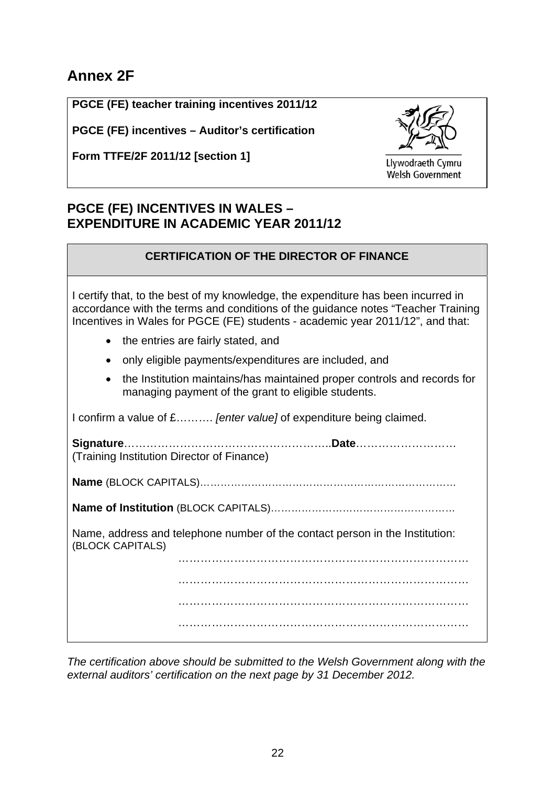# **Annex 2F**

**PGCE (FE) teacher training incentives 2011/12** 

**PGCE (FE) incentives – Auditor's certification** 

**Form TTFE/2F 2011/12 [section 1]** 



Llywodraeth Cymru Welsh Government

# **PGCE (FE) INCENTIVES IN WALES – EXPENDITURE IN ACADEMIC YEAR 2011/12**

# **CERTIFICATION OF THE DIRECTOR OF FINANCE**

I certify that, to the best of my knowledge, the expenditure has been incurred in accordance with the terms and conditions of the guidance notes "Teacher Training Incentives in Wales for PGCE (FE) students - academic year 2011/12", and that:

- the entries are fairly stated, and
- only eligible payments/expenditures are included, and
- the Institution maintains/has maintained proper controls and records for managing payment of the grant to eligible students.

I confirm a value of £………. *[enter value]* of expenditure being claimed.

**Signature**………………………………………………..**Date**……………………… (Training Institution Director of Finance) **Name** (BLOCK CAPITALS)…………………………………………………………………

**Name of Institution** (BLOCK CAPITALS)………………………………………………

Name, address and telephone number of the contact person in the Institution: (BLOCK CAPITALS)

> …………………………………………………………………… …………………………………………………………………… ……………………………………………………………………

……………………………………………………………………

*The certification above should be submitted to the Welsh Government along with the external auditors' certification on the next page by 31 December 2012.*